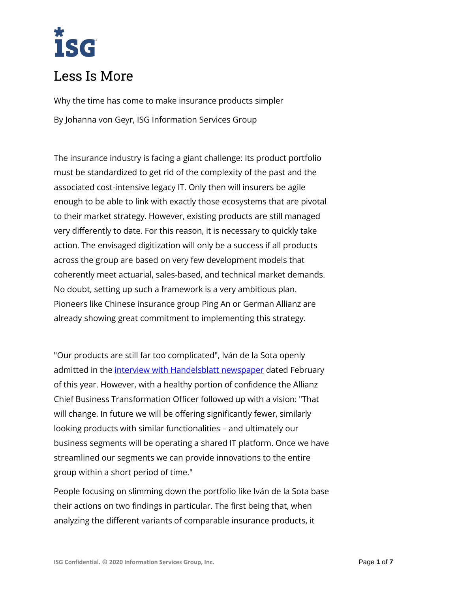# isg

# Less Is More

Why the time has come to make insurance products simpler By Johanna von Geyr, ISG Information Services Group

The insurance industry is facing a giant challenge: Its product portfolio must be standardized to get rid of the complexity of the past and the associated cost-intensive legacy IT. Only then will insurers be agile enough to be able to link with exactly those ecosystems that are pivotal to their market strategy. However, existing products are still managed very differently to date. For this reason, it is necessary to quickly take action. The envisaged digitization will only be a success if all products across the group are based on very few development models that coherently meet actuarial, sales-based, and technical market demands. No doubt, setting up such a framework is a very ambitious plan. Pioneers like Chinese insurance group Ping An or German Allianz are already showing great commitment to implementing this strategy.

"Our products are still far too complicated", Iván de la Sota openly admitted in the [interview with Handelsblatt newspaper](https://www.handelsblatt.com/finanzen/banken-versicherungen/allianz-vorstand-de-la-sota-im-interview-unsere-produkte-sind-viel-zu-kompliziert/23976188.html) dated February of this year. However, with a healthy portion of confidence the Allianz Chief Business Transformation Officer followed up with a vision: "That will change. In future we will be offering significantly fewer, similarly looking products with similar functionalities – and ultimately our business segments will be operating a shared IT platform. Once we have streamlined our segments we can provide innovations to the entire group within a short period of time."

People focusing on slimming down the portfolio like Iván de la Sota base their actions on two findings in particular. The first being that, when analyzing the different variants of comparable insurance products, it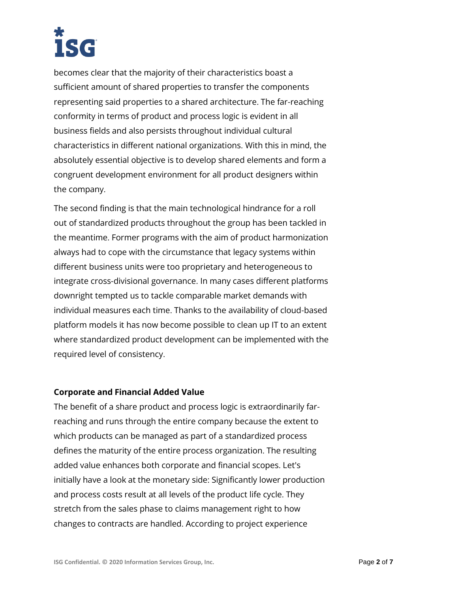becomes clear that the majority of their characteristics boast a sufficient amount of shared properties to transfer the components representing said properties to a shared architecture. The far-reaching conformity in terms of product and process logic is evident in all business fields and also persists throughout individual cultural characteristics in different national organizations. With this in mind, the absolutely essential objective is to develop shared elements and form a congruent development environment for all product designers within the company.

The second finding is that the main technological hindrance for a roll out of standardized products throughout the group has been tackled in the meantime. Former programs with the aim of product harmonization always had to cope with the circumstance that legacy systems within different business units were too proprietary and heterogeneous to integrate cross-divisional governance. In many cases different platforms downright tempted us to tackle comparable market demands with individual measures each time. Thanks to the availability of cloud-based platform models it has now become possible to clean up IT to an extent where standardized product development can be implemented with the required level of consistency.

# **Corporate and Financial Added Value**

The benefit of a share product and process logic is extraordinarily farreaching and runs through the entire company because the extent to which products can be managed as part of a standardized process defines the maturity of the entire process organization. The resulting added value enhances both corporate and financial scopes. Let's initially have a look at the monetary side: Significantly lower production and process costs result at all levels of the product life cycle. They stretch from the sales phase to claims management right to how changes to contracts are handled. According to project experience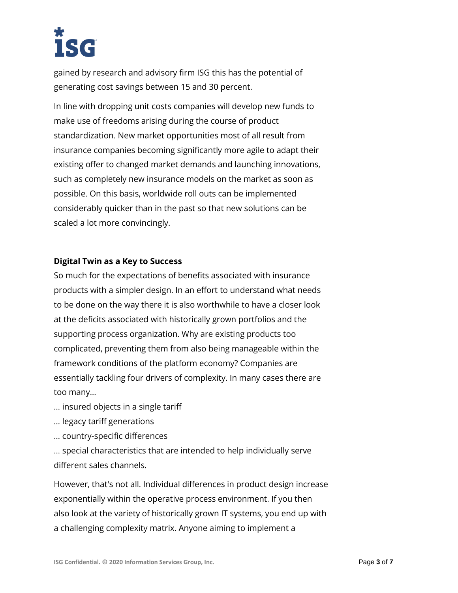gained by research and advisory firm ISG this has the potential of generating cost savings between 15 and 30 percent.

In line with dropping unit costs companies will develop new funds to make use of freedoms arising during the course of product standardization. New market opportunities most of all result from insurance companies becoming significantly more agile to adapt their existing offer to changed market demands and launching innovations, such as completely new insurance models on the market as soon as possible. On this basis, worldwide roll outs can be implemented considerably quicker than in the past so that new solutions can be scaled a lot more convincingly.

# **Digital Twin as a Key to Success**

So much for the expectations of benefits associated with insurance products with a simpler design. In an effort to understand what needs to be done on the way there it is also worthwhile to have a closer look at the deficits associated with historically grown portfolios and the supporting process organization. Why are existing products too complicated, preventing them from also being manageable within the framework conditions of the platform economy? Companies are essentially tackling four drivers of complexity. In many cases there are too many…

- … insured objects in a single tariff
- … legacy tariff generations
- … country-specific differences

… special characteristics that are intended to help individually serve different sales channels.

However, that's not all. Individual differences in product design increase exponentially within the operative process environment. If you then also look at the variety of historically grown IT systems, you end up with a challenging complexity matrix. Anyone aiming to implement a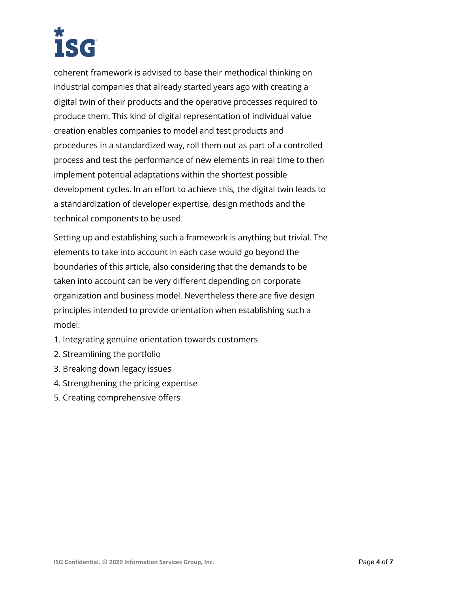coherent framework is advised to base their methodical thinking on industrial companies that already started years ago with creating a digital twin of their products and the operative processes required to produce them. This kind of digital representation of individual value creation enables companies to model and test products and procedures in a standardized way, roll them out as part of a controlled process and test the performance of new elements in real time to then implement potential adaptations within the shortest possible development cycles. In an effort to achieve this, the digital twin leads to a standardization of developer expertise, design methods and the technical components to be used.

Setting up and establishing such a framework is anything but trivial. The elements to take into account in each case would go beyond the boundaries of this article, also considering that the demands to be taken into account can be very different depending on corporate organization and business model. Nevertheless there are five design principles intended to provide orientation when establishing such a model:

- 1. Integrating genuine orientation towards customers
- 2. Streamlining the portfolio
- 3. Breaking down legacy issues
- 4. Strengthening the pricing expertise
- 5. Creating comprehensive offers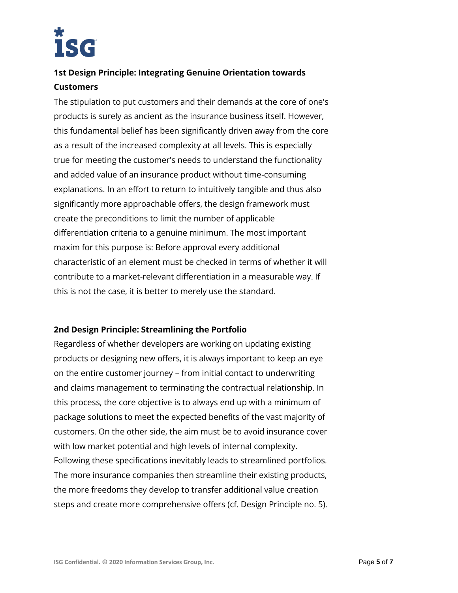

# **1st Design Principle: Integrating Genuine Orientation towards Customers**

The stipulation to put customers and their demands at the core of one's products is surely as ancient as the insurance business itself. However, this fundamental belief has been significantly driven away from the core as a result of the increased complexity at all levels. This is especially true for meeting the customer's needs to understand the functionality and added value of an insurance product without time-consuming explanations. In an effort to return to intuitively tangible and thus also significantly more approachable offers, the design framework must create the preconditions to limit the number of applicable differentiation criteria to a genuine minimum. The most important maxim for this purpose is: Before approval every additional characteristic of an element must be checked in terms of whether it will contribute to a market-relevant differentiation in a measurable way. If this is not the case, it is better to merely use the standard.

# **2nd Design Principle: Streamlining the Portfolio**

Regardless of whether developers are working on updating existing products or designing new offers, it is always important to keep an eye on the entire customer journey – from initial contact to underwriting and claims management to terminating the contractual relationship. In this process, the core objective is to always end up with a minimum of package solutions to meet the expected benefits of the vast majority of customers. On the other side, the aim must be to avoid insurance cover with low market potential and high levels of internal complexity. Following these specifications inevitably leads to streamlined portfolios. The more insurance companies then streamline their existing products, the more freedoms they develop to transfer additional value creation steps and create more comprehensive offers (cf. Design Principle no. 5).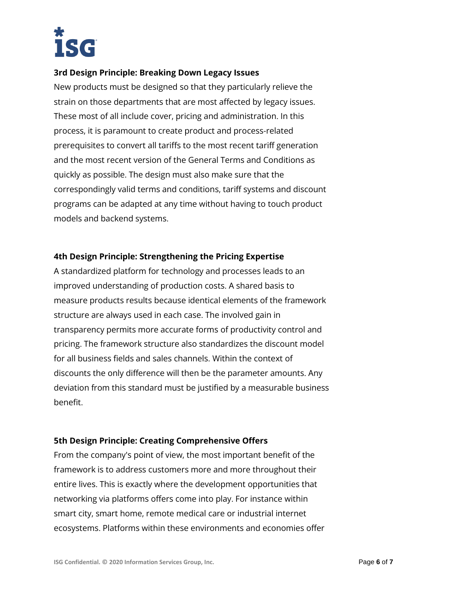

# **3rd Design Principle: Breaking Down Legacy Issues**

New products must be designed so that they particularly relieve the strain on those departments that are most affected by legacy issues. These most of all include cover, pricing and administration. In this process, it is paramount to create product and process-related prerequisites to convert all tariffs to the most recent tariff generation and the most recent version of the General Terms and Conditions as quickly as possible. The design must also make sure that the correspondingly valid terms and conditions, tariff systems and discount programs can be adapted at any time without having to touch product models and backend systems.

### **4th Design Principle: Strengthening the Pricing Expertise**

A standardized platform for technology and processes leads to an improved understanding of production costs. A shared basis to measure products results because identical elements of the framework structure are always used in each case. The involved gain in transparency permits more accurate forms of productivity control and pricing. The framework structure also standardizes the discount model for all business fields and sales channels. Within the context of discounts the only difference will then be the parameter amounts. Any deviation from this standard must be justified by a measurable business benefit.

# **5th Design Principle: Creating Comprehensive Offers**

From the company's point of view, the most important benefit of the framework is to address customers more and more throughout their entire lives. This is exactly where the development opportunities that networking via platforms offers come into play. For instance within smart city, smart home, remote medical care or industrial internet ecosystems. Platforms within these environments and economies offer